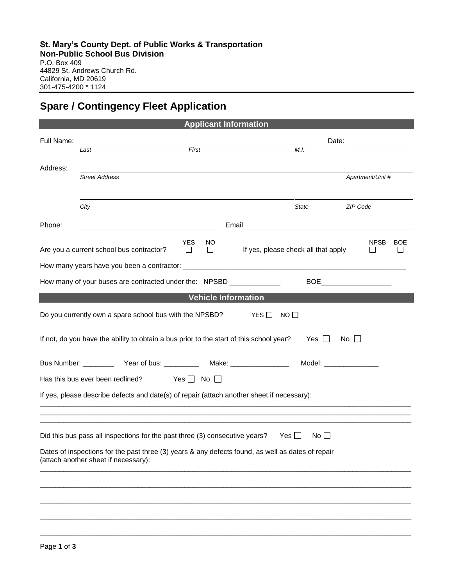## **Spare / Contingency Fleet Application**

|                                                                                                      |                                                                                         | <b>Applicant Information</b>                                                                |  |
|------------------------------------------------------------------------------------------------------|-----------------------------------------------------------------------------------------|---------------------------------------------------------------------------------------------|--|
| Full Name:                                                                                           |                                                                                         | Date:                                                                                       |  |
|                                                                                                      | First<br>Last                                                                           | M.I.                                                                                        |  |
| Address:                                                                                             |                                                                                         |                                                                                             |  |
|                                                                                                      | <b>Street Address</b>                                                                   | Apartment/Unit #                                                                            |  |
|                                                                                                      |                                                                                         |                                                                                             |  |
|                                                                                                      | City                                                                                    | ZIP Code<br>State                                                                           |  |
|                                                                                                      |                                                                                         |                                                                                             |  |
| Phone:                                                                                               |                                                                                         | Email <u>______________________________</u>                                                 |  |
|                                                                                                      | <b>YES</b><br>Are you a current school bus contractor?<br>$\Box$                        | <b>NPSB</b><br><b>BOE</b><br>NO.<br>If yes, please check all that apply<br>$\Box$<br>$\Box$ |  |
|                                                                                                      |                                                                                         |                                                                                             |  |
|                                                                                                      |                                                                                         |                                                                                             |  |
|                                                                                                      | How many of your buses are contracted under the: NPSBD ______________                   |                                                                                             |  |
|                                                                                                      |                                                                                         | <b>Vehicle Information</b>                                                                  |  |
|                                                                                                      | Do you currently own a spare school bus with the NPSBD?                                 | $NO$ $\Box$<br>YES I 1                                                                      |  |
|                                                                                                      |                                                                                         |                                                                                             |  |
|                                                                                                      | If not, do you have the ability to obtain a bus prior to the start of this school year? | Yes    <br>$\overline{N}$ o $\Box$                                                          |  |
|                                                                                                      |                                                                                         | Model: <b>Model</b> Support 2004                                                            |  |
|                                                                                                      |                                                                                         |                                                                                             |  |
| Has this bus ever been redlined? Yes $\Box$ No $\Box$                                                |                                                                                         |                                                                                             |  |
| If yes, please describe defects and date(s) of repair (attach another sheet if necessary):           |                                                                                         |                                                                                             |  |
|                                                                                                      |                                                                                         |                                                                                             |  |
|                                                                                                      |                                                                                         |                                                                                             |  |
| Did this bus pass all inspections for the past three (3) consecutive years?<br>Yes II<br>$No$ $\Box$ |                                                                                         |                                                                                             |  |
| Dates of inspections for the past three (3) years & any defects found, as well as dates of repair    |                                                                                         |                                                                                             |  |
| (attach another sheet if necessary):                                                                 |                                                                                         |                                                                                             |  |
|                                                                                                      |                                                                                         |                                                                                             |  |
|                                                                                                      |                                                                                         |                                                                                             |  |
|                                                                                                      |                                                                                         |                                                                                             |  |
|                                                                                                      |                                                                                         |                                                                                             |  |
|                                                                                                      |                                                                                         |                                                                                             |  |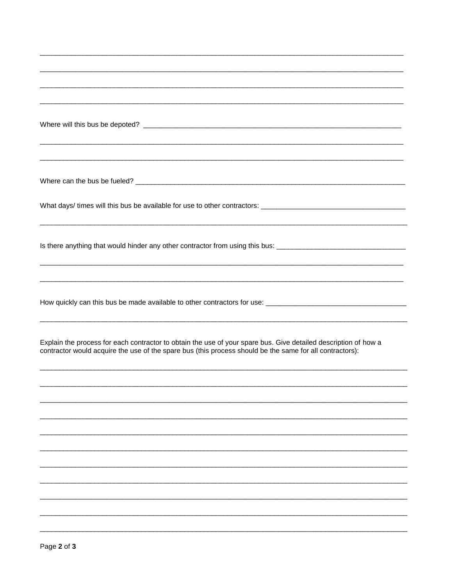| Is there anything that would hinder any other contractor from using this bus: ________________________________                                                                                                              |
|-----------------------------------------------------------------------------------------------------------------------------------------------------------------------------------------------------------------------------|
|                                                                                                                                                                                                                             |
|                                                                                                                                                                                                                             |
|                                                                                                                                                                                                                             |
|                                                                                                                                                                                                                             |
|                                                                                                                                                                                                                             |
| Explain the process for each contractor to obtain the use of your spare bus. Give detailed description of how a<br>contractor would acquire the use of the spare bus (this process should be the same for all contractors): |
|                                                                                                                                                                                                                             |
|                                                                                                                                                                                                                             |
|                                                                                                                                                                                                                             |
|                                                                                                                                                                                                                             |
|                                                                                                                                                                                                                             |
|                                                                                                                                                                                                                             |
|                                                                                                                                                                                                                             |
|                                                                                                                                                                                                                             |
|                                                                                                                                                                                                                             |
|                                                                                                                                                                                                                             |
|                                                                                                                                                                                                                             |